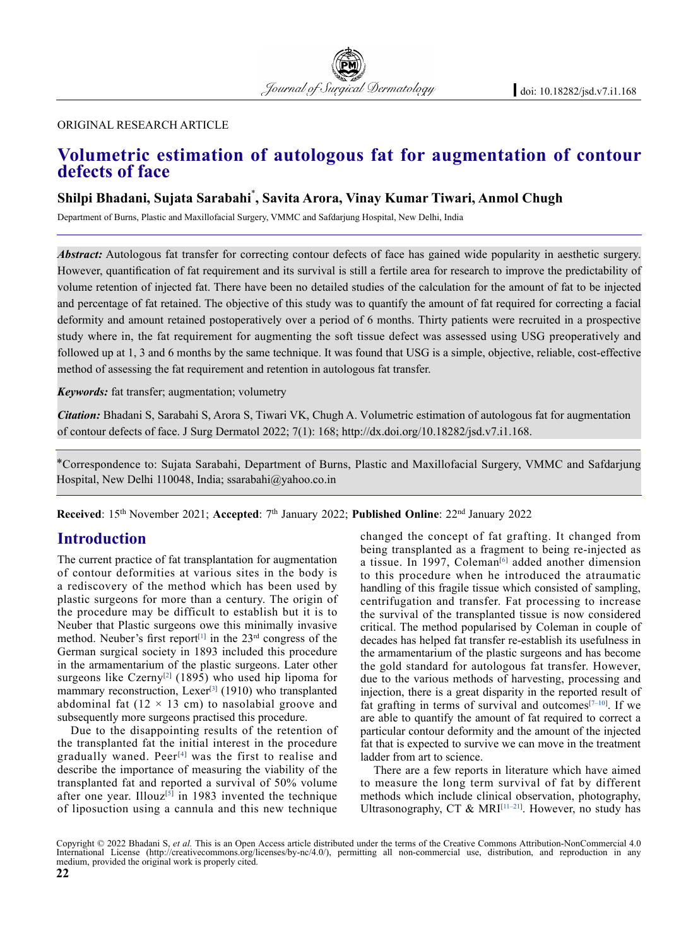#### original research article

# **Volumetric estimation of autologous fat for augmentation of contour defects of face**

## **Shilpi Bhadani, Sujata Sarabahi**\* **, Savita Arora, Vinay Kumar Tiwari, Anmol Chugh**

Department of Burns, Plastic and Maxillofacial Surgery, VMMC and Safdarjung Hospital, New Delhi, India

*Abstract:* Autologous fat transfer for correcting contour defects of face has gained wide popularity in aesthetic surgery. However, quantification of fat requirement and its survival is still a fertile area for research to improve the predictability of volume retention of injected fat. There have been no detailed studies of the calculation for the amount of fat to be injected and percentage of fat retained. The objective of this study was to quantify the amount of fat required for correcting a facial deformity and amount retained postoperatively over a period of 6 months. Thirty patients were recruited in a prospective study where in, the fat requirement for augmenting the soft tissue defect was assessed using USG preoperatively and followed up at 1, 3 and 6 months by the same technique. It was found that USG is a simple, objective, reliable, cost-effective method of assessing the fat requirement and retention in autologous fat transfer.

*Keywords:* fat transfer; augmentation; volumetry

*Citation:* Bhadani S, Sarabahi S, Arora S, Tiwari VK, Chugh A. Volumetric estimation of autologous fat for augmentation of contour defects of face. J Surg Dermatol 2022; 7(1): 168; http://dx.doi.org/10.18282/jsd.v7.i1.168.

\*Correspondence to: Sujata Sarabahi, Department of Burns, Plastic and Maxillofacial Surgery, VMMC and Safdarjung Hospital, New Delhi 110048, India; ssarabahi@yahoo.co.in

**Received**: 15<sup>th</sup> November 2021; **Accepted**: 7<sup>th</sup> January 2022; **Published Online**: 22<sup>nd</sup> January 2022

## **Introduction**

The current practice of fat transplantation for augmentation of contour deformities at various sites in the body is a rediscovery of the method which has been used by plastic surgeons for more than a century. The origin of the procedure may be difficult to establish but it is to Neuber that Plastic surgeons owe this minimally invasive method. Neuber's first report<sup>[1]</sup> in the  $23<sup>rd</sup>$  congress of the German surgical society in 1893 included this procedure in the armamentarium of the plastic surgeons. Later other surgeons like Czerny<sup>[2]</sup> (1895) who used hip lipoma for mammary reconstruction, Lexer<sup>[3]</sup> (1910) who transplanted abdominal fat  $(12 \times 13$  cm) to nasolabial groove and subsequently more surgeons practised this procedure.

Due to the disappointing results of the retention of the transplanted fat the initial interest in the procedure gradually waned. Peer<sup>[4]</sup> was the first to realise and describe the importance of measuring the viability of the transplanted fat and reported a survival of 50% volume after one year. Illouz<sup>[5]</sup> in 1983 invented the technique of liposuction using a cannula and this new technique changed the concept of fat grafting. It changed from being transplanted as a fragment to being re-injected as a tissue. In 1997, Coleman<sup>[6]</sup> added another dimension to this procedure when he introduced the atraumatic handling of this fragile tissue which consisted of sampling, centrifugation and transfer. Fat processing to increase the survival of the transplanted tissue is now considered critical. The method popularised by Coleman in couple of decades has helped fat transfer re-establish its usefulness in the armamentarium of the plastic surgeons and has become the gold standard for autologous fat transfer. However, due to the various methods of harvesting, processing and injection, there is a great disparity in the reported result of fat grafting in terms of survival and outcomes $[7-10]$ . If we are able to quantify the amount of fat required to correct a particular contour deformity and the amount of the injected fat that is expected to survive we can move in the treatment ladder from art to science.

There are a few reports in literature which have aimed to measure the long term survival of fat by different methods which include clinical observation, photography, Ultrasonography, CT & MRI $^{[11-21]}$ . However, no study has

Copyright © 2022 Bhadani S, *et al.* This is an Open Access article distributed under the terms of the Creative Commons Attribution-NonCommercial 4.0 International License (http://creativecommons.org/licenses/by-nc/4.0/), permitting all non-commercial use, distribution, and reproduction in any medium, provided the original work is properly cited.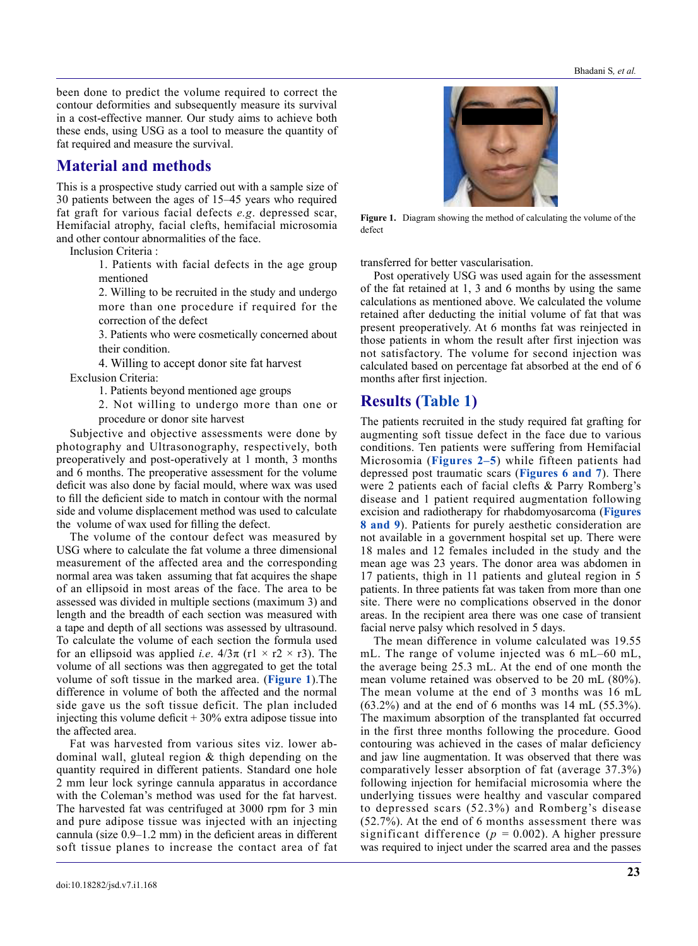been done to predict the volume required to correct the contour deformities and subsequently measure its survival in a cost-effective manner. Our study aims to achieve both these ends, using USG as a tool to measure the quantity of fat required and measure the survival.

## **Material and methods**

This is a prospective study carried out with a sample size of 30 patients between the ages of 15–45 years who required fat graft for various facial defects *e.g*. depressed scar, Hemifacial atrophy, facial clefts, hemifacial microsomia and other contour abnormalities of the face.

Inclusion Criteria :

1. Patients with facial defects in the age group mentioned

2. Willing to be recruited in the study and undergo more than one procedure if required for the correction of the defect

3. Patients who were cosmetically concerned about their condition.

4. Willing to accept donor site fat harvest Exclusion Criteria:

1. Patients beyond mentioned age groups

2. Not willing to undergo more than one or procedure or donor site harvest

Subjective and objective assessments were done by photography and Ultrasonography, respectively, both preoperatively and post-operatively at 1 month, 3 months and 6 months. The preoperative assessment for the volume deficit was also done by facial mould, where wax was used to fill the deficient side to match in contour with the normal side and volume displacement method was used to calculate the volume of wax used for filling the defect.

The volume of the contour defect was measured by USG where to calculate the fat volume a three dimensional measurement of the affected area and the corresponding normal area was taken assuming that fat acquires the shape of an ellipsoid in most areas of the face. The area to be assessed was divided in multiple sections (maximum 3) and length and the breadth of each section was measured with a tape and depth of all sections was assessed by ultrasound. To calculate the volume of each section the formula used for an ellipsoid was applied *i.e.*  $4/3\pi$  (r1 × r2 × r3). The volume of all sections was then aggregated to get the total volume of soft tissue in the marked area. (**Figure 1**).The difference in volume of both the affected and the normal side gave us the soft tissue deficit. The plan included injecting this volume deficit  $+30\%$  extra adipose tissue into the affected area.

Fat was harvested from various sites viz. lower abdominal wall, gluteal region & thigh depending on the quantity required in different patients. Standard one hole 2 mm leur lock syringe cannula apparatus in accordance with the Coleman's method was used for the fat harvest. The harvested fat was centrifuged at 3000 rpm for 3 min and pure adipose tissue was injected with an injecting cannula (size 0.9–1.2 mm) in the deficient areas in different soft tissue planes to increase the contact area of fat



**Figure 1.** Diagram showing the method of calculating the volume of the defect

transferred for better vascularisation.

Post operatively USG was used again for the assessment of the fat retained at 1, 3 and 6 months by using the same calculations as mentioned above. We calculated the volume retained after deducting the initial volume of fat that was present preoperatively. At 6 months fat was reinjected in those patients in whom the result after first injection was not satisfactory. The volume for second injection was calculated based on percentage fat absorbed at the end of 6 months after first injection.

# **Results (Table 1)**

The patients recruited in the study required fat grafting for augmenting soft tissue defect in the face due to various conditions. Ten patients were suffering from Hemifacial Microsomia (**Figures 2–5**) while fifteen patients had depressed post traumatic scars (**Figures 6 and 7**). There were 2 patients each of facial clefts & Parry Romberg's disease and 1 patient required augmentation following excision and radiotherapy for rhabdomyosarcoma (**Figures 8 and 9**). Patients for purely aesthetic consideration are not available in a government hospital set up. There were 18 males and 12 females included in the study and the mean age was 23 years. The donor area was abdomen in 17 patients, thigh in 11 patients and gluteal region in 5 patients. In three patients fat was taken from more than one site. There were no complications observed in the donor areas. In the recipient area there was one case of transient facial nerve palsy which resolved in 5 days.

The mean difference in volume calculated was 19.55 mL. The range of volume injected was 6 mL–60 mL, the average being 25.3 mL. At the end of one month the mean volume retained was observed to be 20 mL (80%). The mean volume at the end of 3 months was 16 mL  $(63.2\%)$  and at the end of 6 months was 14 mL  $(55.3\%)$ . The maximum absorption of the transplanted fat occurred in the first three months following the procedure. Good contouring was achieved in the cases of malar deficiency and jaw line augmentation. It was observed that there was comparatively lesser absorption of fat (average 37.3%) following injection for hemifacial microsomia where the underlying tissues were healthy and vascular compared to depressed scars (52.3%) and Romberg's disease (52.7%). At the end of 6 months assessment there was significant difference ( $p = 0.002$ ). A higher pressure was required to inject under the scarred area and the passes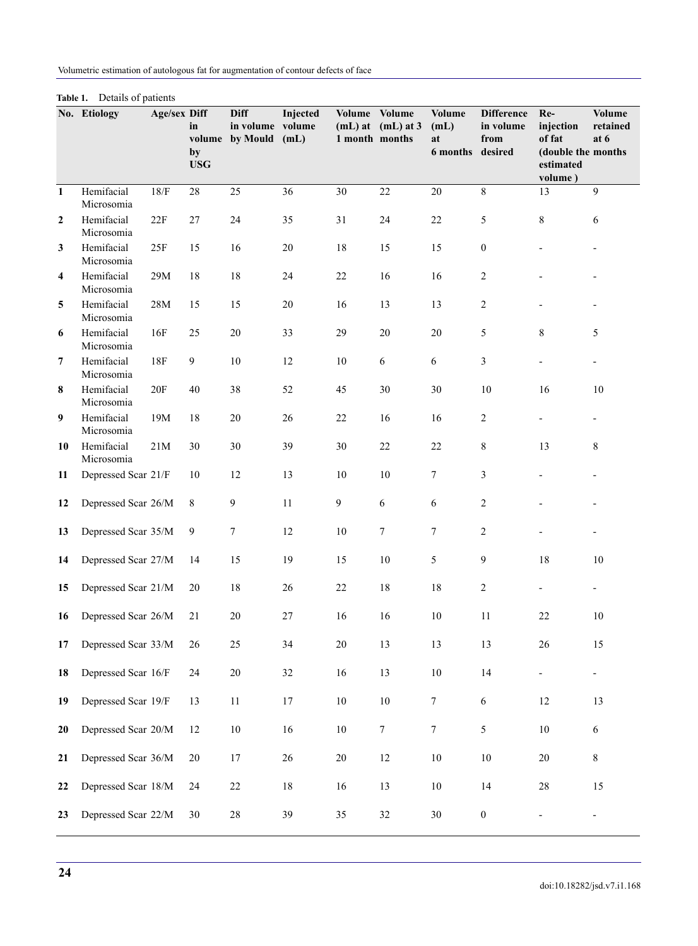Volumetric estimation of autologous fat for augmentation of contour defects of face

|                  | No. Etiology             | <b>Age/sex Diff</b> | in<br>by<br><b>USG</b> | <b>Diff</b><br>in volume volume<br>volume by Mould | Injected<br>(mL) | Volume Volume<br>1 month months | $(mL)$ at $(mL)$ at 3 | <b>Volume</b><br>(mL)<br>at<br>6 months desired | <b>Difference</b><br>in volume<br>from | Re-<br>injection<br>of fat<br>(double the months<br>estimated<br>volume) | <b>Volume</b><br>retained<br>at 6 |
|------------------|--------------------------|---------------------|------------------------|----------------------------------------------------|------------------|---------------------------------|-----------------------|-------------------------------------------------|----------------------------------------|--------------------------------------------------------------------------|-----------------------------------|
| $\mathbf{1}$     | Hemifacial<br>Microsomia | 18/F                | 28                     | 25                                                 | 36               | 30                              | 22                    | 20                                              | 8                                      | 13                                                                       | 9                                 |
| $\boldsymbol{2}$ | Hemifacial<br>Microsomia | 22F                 | 27                     | 24                                                 | 35               | 31                              | 24                    | 22                                              | 5                                      | 8                                                                        | 6                                 |
| 3                | Hemifacial<br>Microsomia | 25F                 | 15                     | 16                                                 | $20\,$           | 18                              | 15                    | 15                                              | $\boldsymbol{0}$                       |                                                                          |                                   |
| $\overline{4}$   | Hemifacial<br>Microsomia | 29M                 | 18                     | $18\,$                                             | 24               | 22                              | 16                    | 16                                              | $\overline{2}$                         |                                                                          |                                   |
| 5                | Hemifacial<br>Microsomia | $28\mathrm{M}$      | 15                     | 15                                                 | $20\,$           | 16                              | 13                    | 13                                              | $\overline{2}$                         |                                                                          |                                   |
| 6                | Hemifacial<br>Microsomia | 16F                 | 25                     | 20                                                 | 33               | 29                              | 20                    | 20                                              | 5                                      | 8                                                                        | 5                                 |
| $\overline{7}$   | Hemifacial<br>Microsomia | <b>18F</b>          | $\mathbf{9}$           | $10\,$                                             | 12               | 10                              | 6                     | 6                                               | 3                                      |                                                                          | $\overline{\phantom{0}}$          |
| 8                | Hemifacial<br>Microsomia | 20F                 | 40                     | 38                                                 | 52               | 45                              | 30                    | 30                                              | 10                                     | 16                                                                       | 10                                |
| 9                | Hemifacial<br>Microsomia | 19M                 | 18                     | 20                                                 | 26               | 22                              | 16                    | 16                                              | $\overline{2}$                         |                                                                          | $\overline{\phantom{0}}$          |
| 10               | Hemifacial<br>Microsomia | 21M                 | 30                     | 30                                                 | 39               | 30                              | 22                    | 22                                              | 8                                      | 13                                                                       | 8                                 |
| 11               | Depressed Scar 21/F      |                     | 10                     | 12                                                 | 13               | 10                              | 10                    | $\tau$                                          | 3                                      |                                                                          |                                   |
| 12               | Depressed Scar 26/M      |                     | 8                      | 9                                                  | 11               | $\mathbf{9}$                    | 6                     | 6                                               | $\overline{2}$                         |                                                                          |                                   |
| 13               | Depressed Scar 35/M      |                     | 9                      | $\tau$                                             | 12               | 10                              | 7                     | $\tau$                                          | $\overline{2}$                         |                                                                          |                                   |
| 14               | Depressed Scar 27/M      |                     | 14                     | 15                                                 | 19               | 15                              | $10\,$                | 5                                               | 9                                      | 18                                                                       | 10                                |
| 15               | Depressed Scar 21/M      |                     | 20                     | 18                                                 | 26               | 22                              | 18                    | 18                                              | $\overline{2}$                         |                                                                          |                                   |
| 16               | Depressed Scar 26/M      |                     | 21                     | 20                                                 | 27               | 16                              | 16                    | 10                                              | 11                                     | 22                                                                       | $10\,$                            |
| 17               | Depressed Scar 33/M      |                     | $26\,$                 | $25\,$                                             | 34               | $20\,$                          | 13                    | 13                                              | 13                                     | $26\,$                                                                   | 15                                |
| 18               | Depressed Scar 16/F      |                     | $24\,$                 | $20\,$                                             | $32\,$           | 16                              | 13                    | $10\,$                                          | 14                                     | Ξ.                                                                       | $\blacksquare$                    |
| 19               | Depressed Scar 19/F      |                     | 13                     | 11                                                 | $17\,$           | $10\,$                          | $10\,$                | $\tau$                                          | $\sqrt{6}$                             | $12\,$                                                                   | 13                                |
| 20               | Depressed Scar 20/M      |                     | 12                     | $10\,$                                             | 16               | $10\,$                          | $\overline{7}$        | $\overline{7}$                                  | $\sqrt{5}$                             | $10\,$                                                                   | 6                                 |
| 21               | Depressed Scar 36/M      |                     | 20                     | $17\,$                                             | $26\,$           | $20\,$                          | $12\,$                | $10\,$                                          | $10\,$                                 | $20\,$                                                                   | 8                                 |
| 22               | Depressed Scar 18/M      |                     | 24                     | $22\,$                                             | $18\,$           | 16                              | 13                    | $10\,$                                          | $14$                                   | $28\,$                                                                   | 15                                |
| 23               | Depressed Scar 22/M      |                     | 30                     | $28\,$                                             | 39               | 35                              | 32                    | $30\,$                                          | $\boldsymbol{0}$                       |                                                                          | $\blacksquare$                    |

#### **Table 1.** Details of patients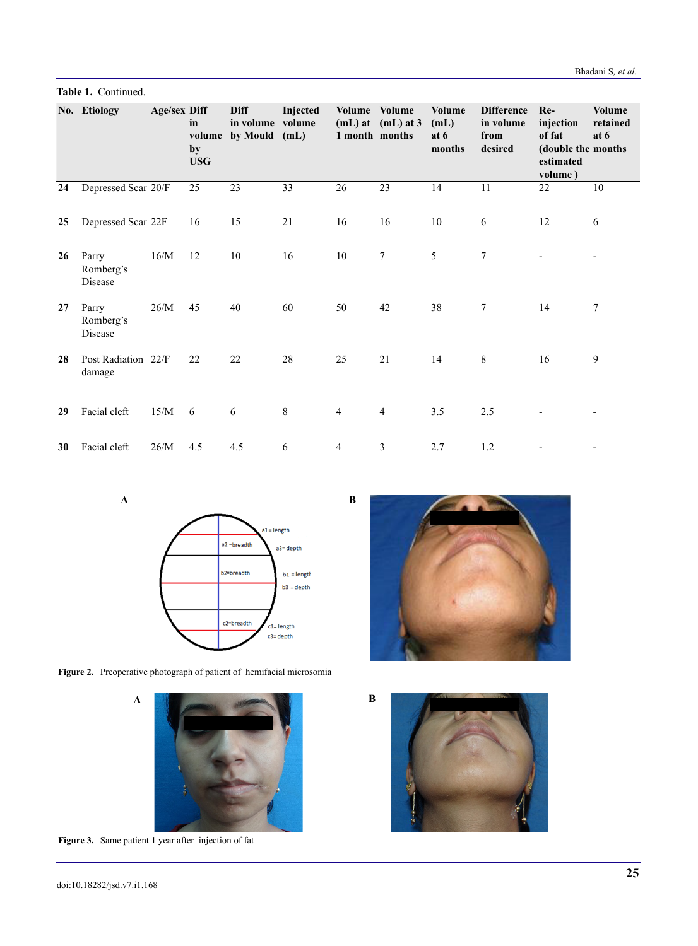Bhadani S*, et al.*

**Table 1.** Continued.

|    | No. Etiology                  | <b>Age/sex Diff</b> | in<br>by<br><b>USG</b> | <b>Diff</b><br>in volume volume<br>volume by Mould (mL) | Injected | 1 month months | Volume Volume<br>$(mL)$ at $(mL)$ at 3 | <b>Volume</b><br>(mL)<br>at 6<br>months | <b>Difference</b><br>in volume<br>from<br>desired | Re-<br>injection<br>of fat<br>(double the months<br>estimated<br>volume) | <b>Volume</b><br>retained<br>at 6 |
|----|-------------------------------|---------------------|------------------------|---------------------------------------------------------|----------|----------------|----------------------------------------|-----------------------------------------|---------------------------------------------------|--------------------------------------------------------------------------|-----------------------------------|
| 24 | Depressed Scar 20/F           |                     | 25                     | 23                                                      | 33       | 26             | 23                                     | 14                                      | 11                                                | 22                                                                       | 10                                |
| 25 | Depressed Scar 22F            |                     | 16                     | 15                                                      | 21       | 16             | 16                                     | 10                                      | 6                                                 | 12                                                                       | 6                                 |
| 26 | Parry<br>Romberg's<br>Disease | 16/M                | 12                     | 10                                                      | 16       | 10             | 7                                      | 5                                       | 7                                                 |                                                                          |                                   |
| 27 | Parry<br>Romberg's<br>Disease | 26/M                | 45                     | 40                                                      | 60       | 50             | 42                                     | 38                                      | 7                                                 | 14                                                                       | 7                                 |
| 28 | Post Radiation 22/F<br>damage |                     | 22                     | 22                                                      | 28       | 25             | 21                                     | 14                                      | 8                                                 | 16                                                                       | 9                                 |
| 29 | Facial cleft                  | 15/M                | 6                      | 6                                                       | 8        | 4              | $\overline{4}$                         | 3.5                                     | 2.5                                               |                                                                          |                                   |
| 30 | Facial cleft                  | 26/M                | 4.5                    | 4.5                                                     | 6        | 4              | 3                                      | 2.7                                     | 1.2                                               |                                                                          |                                   |

**A**



**Figure 2.** Preoperative photograph of patient of hemifacial microsomia



**Figure 3.** Same patient 1 year after injection of fat

**A**



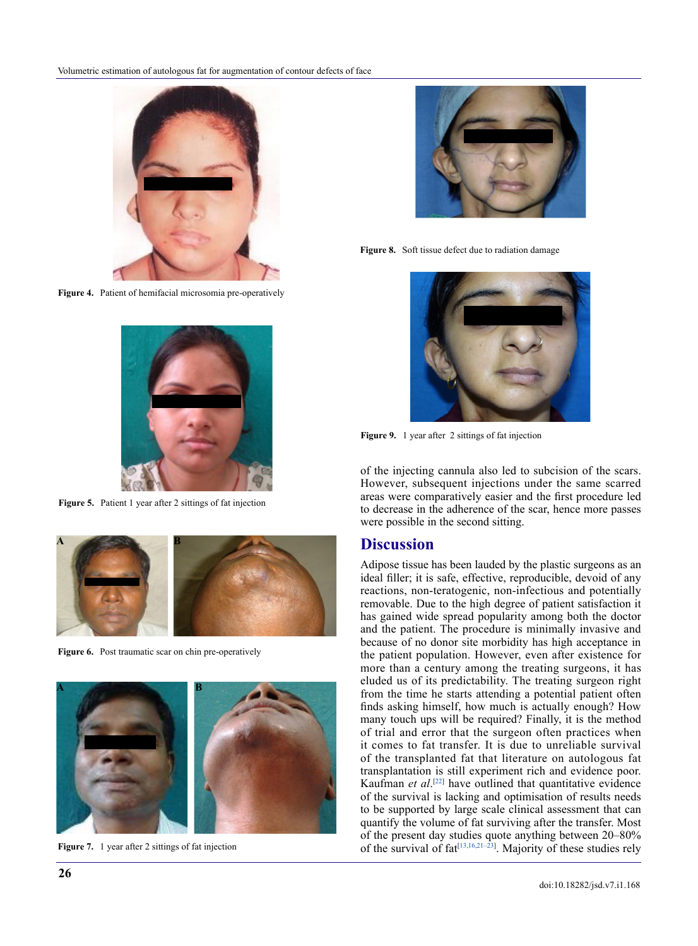

**Figure 4.** Patient of hemifacial microsomia pre-operatively



**Figure 5.** Patient 1 year after 2 sittings of fat injection



**Figure 6.** Post traumatic scar on chin pre-operatively



Figure 7. 1 year after 2 sittings of fat injection

Figure 8. Soft tissue defect due to radiation damage



**Figure 9.** 1 year after 2 sittings of fat injection

of the injecting cannula also led to subcision of the scars. However, subsequent injections under the same scarred areas were comparatively easier and the first procedure led to decrease in the adherence of the scar, hence more passes were possible in the second sitting.

#### **Discussion**

Adipose tissue has been lauded by the plastic surgeons as an ideal filler; it is safe, effective, reproducible, devoid of any reactions, non-teratogenic, non-infectious and potentially removable. Due to the high degree of patient satisfaction it has gained wide spread popularity among both the doctor and the patient. The procedure is minimally invasive and because of no donor site morbidity has high acceptance in the patient population. However, even after existence for more than a century among the treating surgeons, it has eluded us of its predictability. The treating surgeon right from the time he starts attending a potential patient often finds asking himself, how much is actually enough? How many touch ups will be required? Finally, it is the method of trial and error that the surgeon often practices when it comes to fat transfer. It is due to unreliable survival of the transplanted fat that literature on autologous fat transplantation is still experiment rich and evidence poor. Kaufman *et al.*<sup>[22]</sup> have outlined that quantitative evidence of the survival is lacking and optimisation of results needs to be supported by large scale clinical assessment that can quantify the volume of fat surviving after the transfer. Most of the present day studies quote anything between 20–80% of the survival of  $fat^{[13,16,21-23]}$ . Majority of these studies rely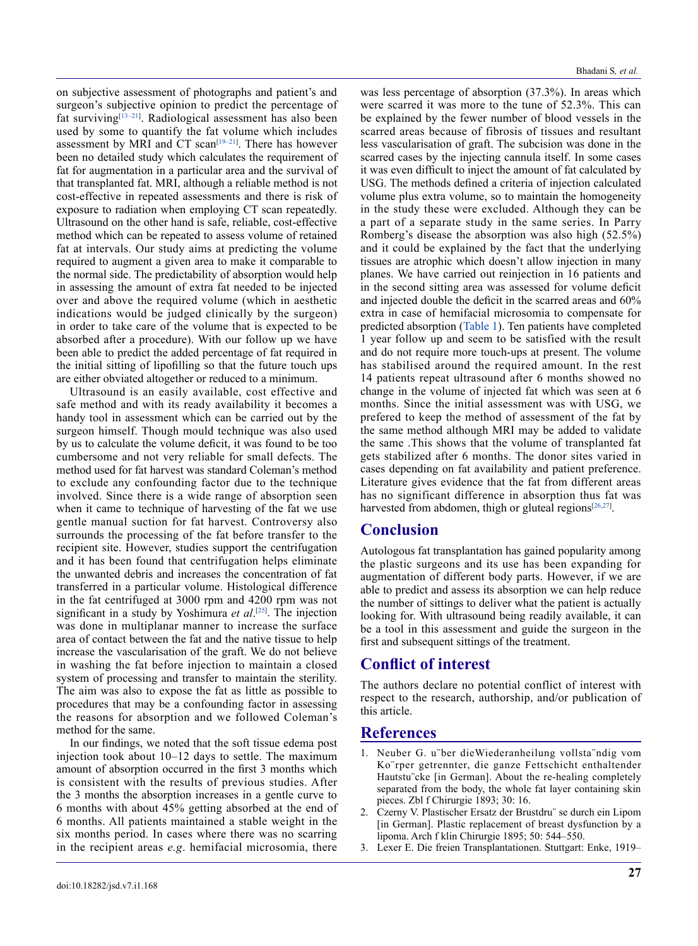on subjective assessment of photographs and patient's and surgeon's subjective opinion to predict the percentage of fat surviving[13–21] . Radiological assessment has also been used by some to quantify the fat volume which includes assessment by MRI and CT scan $[19-21]$ . There has however been no detailed study which calculates the requirement of fat for augmentation in a particular area and the survival of that transplanted fat. MRI, although a reliable method is not cost-effective in repeated assessments and there is risk of exposure to radiation when employing CT scan repeatedly. Ultrasound on the other hand is safe, reliable, cost-effective method which can be repeated to assess volume of retained fat at intervals. Our study aims at predicting the volume required to augment a given area to make it comparable to the normal side. The predictability of absorption would help in assessing the amount of extra fat needed to be injected over and above the required volume (which in aesthetic indications would be judged clinically by the surgeon) in order to take care of the volume that is expected to be absorbed after a procedure). With our follow up we have been able to predict the added percentage of fat required in the initial sitting of lipofilling so that the future touch ups are either obviated altogether or reduced to a minimum.

Ultrasound is an easily available, cost effective and safe method and with its ready availability it becomes a handy tool in assessment which can be carried out by the surgeon himself. Though mould technique was also used by us to calculate the volume deficit, it was found to be too cumbersome and not very reliable for small defects. The method used for fat harvest was standard Coleman's method to exclude any confounding factor due to the technique involved. Since there is a wide range of absorption seen when it came to technique of harvesting of the fat we use gentle manual suction for fat harvest. Controversy also surrounds the processing of the fat before transfer to the recipient site. However, studies support the centrifugation and it has been found that centrifugation helps eliminate the unwanted debris and increases the concentration of fat transferred in a particular volume. Histological difference in the fat centrifuged at 3000 rpm and 4200 rpm was not significant in a study by Yoshimura *et al*. [25] . The injection was done in multiplanar manner to increase the surface area of contact between the fat and the native tissue to help increase the vascularisation of the graft. We do not believe in washing the fat before injection to maintain a closed system of processing and transfer to maintain the sterility. The aim was also to expose the fat as little as possible to procedures that may be a confounding factor in assessing the reasons for absorption and we followed Coleman's method for the same.

In our findings, we noted that the soft tissue edema post injection took about 10–12 days to settle. The maximum amount of absorption occurred in the first 3 months which is consistent with the results of previous studies. After the 3 months the absorption increases in a gentle curve to 6 months with about 45% getting absorbed at the end of 6 months. All patients maintained a stable weight in the six months period. In cases where there was no scarring in the recipient areas *e.g*. hemifacial microsomia, there

was less percentage of absorption (37.3%). In areas which were scarred it was more to the tune of 52.3%. This can be explained by the fewer number of blood vessels in the scarred areas because of fibrosis of tissues and resultant less vascularisation of graft. The subcision was done in the scarred cases by the injecting cannula itself. In some cases it was even difficult to inject the amount of fat calculated by USG. The methods defined a criteria of injection calculated volume plus extra volume, so to maintain the homogeneity in the study these were excluded. Although they can be a part of a separate study in the same series. In Parry Romberg's disease the absorption was also high (52.5%) and it could be explained by the fact that the underlying tissues are atrophic which doesn't allow injection in many planes. We have carried out reinjection in 16 patients and in the second sitting area was assessed for volume deficit and injected double the deficit in the scarred areas and 60% extra in case of hemifacial microsomia to compensate for predicted absorption (Table 1). Ten patients have completed 1 year follow up and seem to be satisfied with the result and do not require more touch-ups at present. The volume has stabilised around the required amount. In the rest 14 patients repeat ultrasound after 6 months showed no change in the volume of injected fat which was seen at 6 months. Since the initial assessment was with USG, we prefered to keep the method of assessment of the fat by the same method although MRI may be added to validate the same .This shows that the volume of transplanted fat gets stabilized after 6 months. The donor sites varied in cases depending on fat availability and patient preference. Literature gives evidence that the fat from different areas has no significant difference in absorption thus fat was harvested from abdomen, thigh or gluteal regions $[26,27]$ .

### **Conclusion**

Autologous fat transplantation has gained popularity among the plastic surgeons and its use has been expanding for augmentation of different body parts. However, if we are able to predict and assess its absorption we can help reduce the number of sittings to deliver what the patient is actually looking for. With ultrasound being readily available, it can be a tool in this assessment and guide the surgeon in the first and subsequent sittings of the treatment.

## **Conflict of interest**

The authors declare no potential conflict of interest with respect to the research, authorship, and/or publication of this article.

### **References**

- 1. Neuber G. u¨ber dieWiederanheilung vollsta¨ndig vom Ko¨rper getrennter, die ganze Fettschicht enthaltender Hautstu¨cke [in German]. About the re-healing completely separated from the body, the whole fat layer containing skin pieces. Zbl f Chirurgie 1893; 30: 16.
- 2. Czerny V. Plastischer Ersatz der Brustdru¨ se durch ein Lipom [in German]. Plastic replacement of breast dysfunction by a lipoma. Arch f klin Chirurgie 1895; 50: 544–550.
- 3. Lexer E. Die freien Transplantationen. Stuttgart: Enke, 1919–